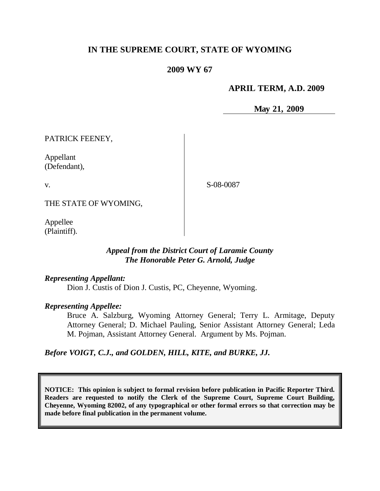# **IN THE SUPREME COURT, STATE OF WYOMING**

# **2009 WY 67**

#### **APRIL TERM, A.D. 2009**

**May 21, 2009**

PATRICK FEENEY,

Appellant (Defendant),

v.

S-08-0087

THE STATE OF WYOMING,

Appellee (Plaintiff).

## *Appeal from the District Court of Laramie County The Honorable Peter G. Arnold, Judge*

*Representing Appellant:*

Dion J. Custis of Dion J. Custis, PC, Cheyenne, Wyoming.

*Representing Appellee:*

Bruce A. Salzburg, Wyoming Attorney General; Terry L. Armitage, Deputy Attorney General; D. Michael Pauling, Senior Assistant Attorney General; Leda M. Pojman, Assistant Attorney General. Argument by Ms. Pojman.

*Before VOIGT, C.J., and GOLDEN, HILL, KITE, and BURKE, JJ.*

**NOTICE: This opinion is subject to formal revision before publication in Pacific Reporter Third. Readers are requested to notify the Clerk of the Supreme Court, Supreme Court Building, Cheyenne, Wyoming 82002, of any typographical or other formal errors so that correction may be made before final publication in the permanent volume.**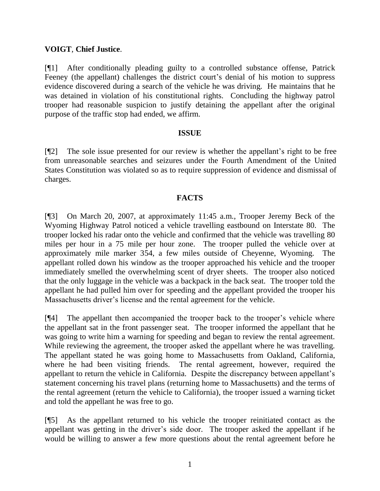### **VOIGT**, **Chief Justice**.

[¶1] After conditionally pleading guilty to a controlled substance offense, Patrick Feeney (the appellant) challenges the district court's denial of his motion to suppress evidence discovered during a search of the vehicle he was driving. He maintains that he was detained in violation of his constitutional rights. Concluding the highway patrol trooper had reasonable suspicion to justify detaining the appellant after the original purpose of the traffic stop had ended, we affirm.

#### **ISSUE**

[¶2] The sole issue presented for our review is whether the appellant"s right to be free from unreasonable searches and seizures under the Fourth Amendment of the United States Constitution was violated so as to require suppression of evidence and dismissal of charges.

## **FACTS**

[¶3] On March 20, 2007, at approximately 11:45 a.m., Trooper Jeremy Beck of the Wyoming Highway Patrol noticed a vehicle travelling eastbound on Interstate 80. The trooper locked his radar onto the vehicle and confirmed that the vehicle was travelling 80 miles per hour in a 75 mile per hour zone. The trooper pulled the vehicle over at approximately mile marker 354, a few miles outside of Cheyenne, Wyoming. The appellant rolled down his window as the trooper approached his vehicle and the trooper immediately smelled the overwhelming scent of dryer sheets. The trooper also noticed that the only luggage in the vehicle was a backpack in the back seat. The trooper told the appellant he had pulled him over for speeding and the appellant provided the trooper his Massachusetts driver"s license and the rental agreement for the vehicle.

[¶4] The appellant then accompanied the trooper back to the trooper"s vehicle where the appellant sat in the front passenger seat. The trooper informed the appellant that he was going to write him a warning for speeding and began to review the rental agreement. While reviewing the agreement, the trooper asked the appellant where he was travelling. The appellant stated he was going home to Massachusetts from Oakland, California, where he had been visiting friends. The rental agreement, however, required the appellant to return the vehicle in California. Despite the discrepancy between appellant"s statement concerning his travel plans (returning home to Massachusetts) and the terms of the rental agreement (return the vehicle to California), the trooper issued a warning ticket and told the appellant he was free to go.

[¶5] As the appellant returned to his vehicle the trooper reinitiated contact as the appellant was getting in the driver"s side door. The trooper asked the appellant if he would be willing to answer a few more questions about the rental agreement before he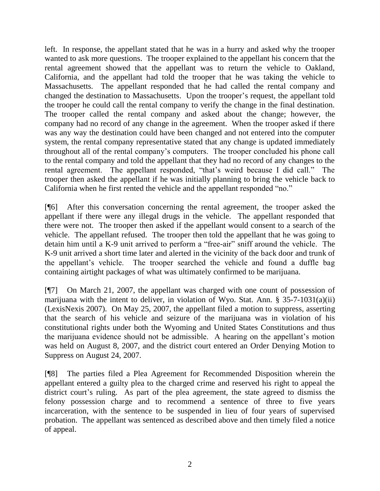left. In response, the appellant stated that he was in a hurry and asked why the trooper wanted to ask more questions. The trooper explained to the appellant his concern that the rental agreement showed that the appellant was to return the vehicle to Oakland, California, and the appellant had told the trooper that he was taking the vehicle to Massachusetts. The appellant responded that he had called the rental company and changed the destination to Massachusetts. Upon the trooper"s request, the appellant told the trooper he could call the rental company to verify the change in the final destination. The trooper called the rental company and asked about the change; however, the company had no record of any change in the agreement. When the trooper asked if there was any way the destination could have been changed and not entered into the computer system, the rental company representative stated that any change is updated immediately throughout all of the rental company"s computers. The trooper concluded his phone call to the rental company and told the appellant that they had no record of any changes to the rental agreement. The appellant responded, "that"s weird because I did call." The trooper then asked the appellant if he was initially planning to bring the vehicle back to California when he first rented the vehicle and the appellant responded "no."

[¶6] After this conversation concerning the rental agreement, the trooper asked the appellant if there were any illegal drugs in the vehicle. The appellant responded that there were not. The trooper then asked if the appellant would consent to a search of the vehicle. The appellant refused. The trooper then told the appellant that he was going to detain him until a K-9 unit arrived to perform a "free-air" sniff around the vehicle. The K-9 unit arrived a short time later and alerted in the vicinity of the back door and trunk of the appellant"s vehicle. The trooper searched the vehicle and found a duffle bag containing airtight packages of what was ultimately confirmed to be marijuana.

[¶7] On March 21, 2007, the appellant was charged with one count of possession of marijuana with the intent to deliver, in violation of Wyo. Stat. Ann.  $\S$  35-7-1031(a)(ii) (LexisNexis 2007). On May 25, 2007, the appellant filed a motion to suppress, asserting that the search of his vehicle and seizure of the marijuana was in violation of his constitutional rights under both the Wyoming and United States Constitutions and thus the marijuana evidence should not be admissible. A hearing on the appellant"s motion was held on August 8, 2007, and the district court entered an Order Denying Motion to Suppress on August 24, 2007.

[¶8] The parties filed a Plea Agreement for Recommended Disposition wherein the appellant entered a guilty plea to the charged crime and reserved his right to appeal the district court's ruling. As part of the plea agreement, the state agreed to dismiss the felony possession charge and to recommend a sentence of three to five years incarceration, with the sentence to be suspended in lieu of four years of supervised probation. The appellant was sentenced as described above and then timely filed a notice of appeal.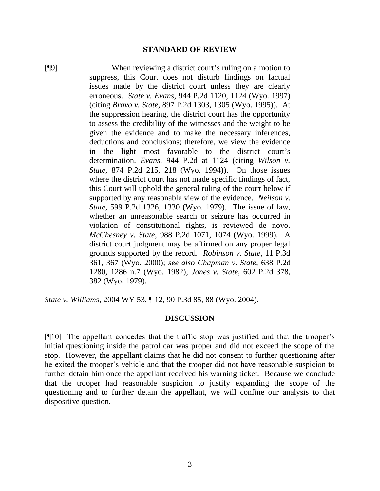#### **STANDARD OF REVIEW**

[¶9] When reviewing a district court"s ruling on a motion to suppress, this Court does not disturb findings on factual issues made by the district court unless they are clearly erroneous. *State v. Evans*, 944 P.2d 1120, 1124 (Wyo. 1997) (citing *Bravo v. State*, 897 P.2d 1303, 1305 (Wyo. 1995)). At the suppression hearing, the district court has the opportunity to assess the credibility of the witnesses and the weight to be given the evidence and to make the necessary inferences, deductions and conclusions; therefore, we view the evidence in the light most favorable to the district court"s determination. *Evans*, 944 P.2d at 1124 (citing *Wilson v. State*, 874 P.2d 215, 218 (Wyo. 1994)). On those issues where the district court has not made specific findings of fact, this Court will uphold the general ruling of the court below if supported by any reasonable view of the evidence. *Neilson v. State*, 599 P.2d 1326, 1330 (Wyo. 1979). The issue of law, whether an unreasonable search or seizure has occurred in violation of constitutional rights, is reviewed de novo. *McChesney v. State*, 988 P.2d 1071, 1074 (Wyo. 1999). A district court judgment may be affirmed on any proper legal grounds supported by the record. *Robinson v. State*, 11 P.3d 361, 367 (Wyo. 2000); *see also Chapman v. State*, 638 P.2d 1280, 1286 n.7 (Wyo. 1982); *Jones v. State*, 602 P.2d 378, 382 (Wyo. 1979).

*State v. Williams*, 2004 WY 53, ¶ 12, 90 P.3d 85, 88 (Wyo. 2004).

#### **DISCUSSION**

[¶10] The appellant concedes that the traffic stop was justified and that the trooper"s initial questioning inside the patrol car was proper and did not exceed the scope of the stop. However, the appellant claims that he did not consent to further questioning after he exited the trooper"s vehicle and that the trooper did not have reasonable suspicion to further detain him once the appellant received his warning ticket. Because we conclude that the trooper had reasonable suspicion to justify expanding the scope of the questioning and to further detain the appellant, we will confine our analysis to that dispositive question.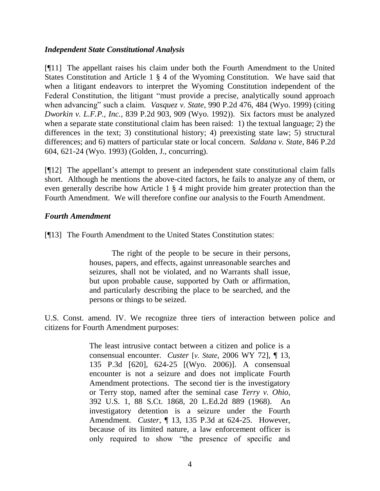# *Independent State Constitutional Analysis*

[¶11] The appellant raises his claim under both the Fourth Amendment to the United States Constitution and Article 1 § 4 of the Wyoming Constitution. We have said that when a litigant endeavors to interpret the Wyoming Constitution independent of the Federal Constitution, the litigant "must provide a precise, analytically sound approach when advancing" such a claim. *Vasquez v. State*, 990 P.2d 476, 484 (Wyo. 1999) (citing *Dworkin v. L.F.P., Inc.*, 839 P.2d 903, 909 (Wyo. 1992)). Six factors must be analyzed when a separate state constitutional claim has been raised: 1) the textual language; 2) the differences in the text; 3) constitutional history; 4) preexisting state law; 5) structural differences; and 6) matters of particular state or local concern. *Saldana v. State*, 846 P.2d 604, 621-24 (Wyo. 1993) (Golden, J., concurring).

[¶12] The appellant"s attempt to present an independent state constitutional claim falls short. Although he mentions the above-cited factors, he fails to analyze any of them, or even generally describe how Article 1 § 4 might provide him greater protection than the Fourth Amendment. We will therefore confine our analysis to the Fourth Amendment.

# *Fourth Amendment*

[¶13] The Fourth Amendment to the United States Constitution states:

The right of the people to be secure in their persons, houses, papers, and effects, against unreasonable searches and seizures, shall not be violated, and no Warrants shall issue, but upon probable cause, supported by Oath or affirmation, and particularly describing the place to be searched, and the persons or things to be seized.

U.S. Const. amend. IV. We recognize three tiers of interaction between police and citizens for Fourth Amendment purposes:

> The least intrusive contact between a citizen and police is a consensual encounter. *Custer* [*v. State*, 2006 WY 72], ¶ 13, 135 P.3d [620], 624-25 [(Wyo. 2006)]. A consensual encounter is not a seizure and does not implicate Fourth Amendment protections. The second tier is the investigatory or Terry stop, named after the seminal case *Terry v. Ohio*, 392 U.S. 1, 88 S.Ct. 1868, 20 L.Ed.2d 889 (1968). An investigatory detention is a seizure under the Fourth Amendment. *Custer*, ¶ 13, 135 P.3d at 624-25. However, because of its limited nature, a law enforcement officer is only required to show "the presence of specific and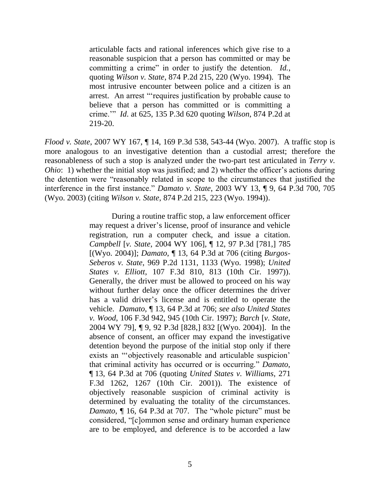articulable facts and rational inferences which give rise to a reasonable suspicion that a person has committed or may be committing a crime" in order to justify the detention. *Id.*, quoting *Wilson v. State*, 874 P.2d 215, 220 (Wyo. 1994). The most intrusive encounter between police and a citizen is an arrest. An arrest ""requires justification by probable cause to believe that a person has committed or is committing a crime."" *Id*. at 625, 135 P.3d 620 quoting *Wilson*, 874 P.2d at 219-20.

*Flood v. State*, 2007 WY 167, ¶ 14, 169 P.3d 538, 543-44 (Wyo. 2007). A traffic stop is more analogous to an investigative detention than a custodial arrest; therefore the reasonableness of such a stop is analyzed under the two-part test articulated in *Terry v. Ohio*: 1) whether the initial stop was justified; and 2) whether the officer's actions during the detention were "reasonably related in scope to the circumstances that justified the interference in the first instance." *Damato v. State*, 2003 WY 13, ¶ 9, 64 P.3d 700, 705 (Wyo. 2003) (citing *Wilson v. State*, 874 P.2d 215, 223 (Wyo. 1994)).

> During a routine traffic stop, a law enforcement officer may request a driver"s license, proof of insurance and vehicle registration, run a computer check, and issue a citation. *Campbell* [*v. State*, 2004 WY 106], ¶ 12, 97 P.3d [781,] 785 [(Wyo. 2004)]; *Damato*, ¶ 13, 64 P.3d at 706 (citing *Burgos-Seberos v. State*, 969 P.2d 1131, 1133 (Wyo. 1998); *United States v. Elliott*, 107 F.3d 810, 813 (10th Cir. 1997)). Generally, the driver must be allowed to proceed on his way without further delay once the officer determines the driver has a valid driver's license and is entitled to operate the vehicle. *Damato*, ¶ 13, 64 P.3d at 706; *see also United States v. Wood*, 106 F.3d 942, 945 (10th Cir. 1997); *Barch* [*v. State*, 2004 WY 79], ¶ 9, 92 P.3d [828,] 832 [(Wyo. 2004)]. In the absence of consent, an officer may expand the investigative detention beyond the purpose of the initial stop only if there exists an "objectively reasonable and articulable suspicion" that criminal activity has occurred or is occurring." *Damato*, ¶ 13, 64 P.3d at 706 (quoting *United States v. Williams*, 271 F.3d 1262, 1267 (10th Cir. 2001)). The existence of objectively reasonable suspicion of criminal activity is determined by evaluating the totality of the circumstances. *Damato*, ¶ 16, 64 P.3d at 707. The "whole picture" must be considered, "[c]ommon sense and ordinary human experience are to be employed, and deference is to be accorded a law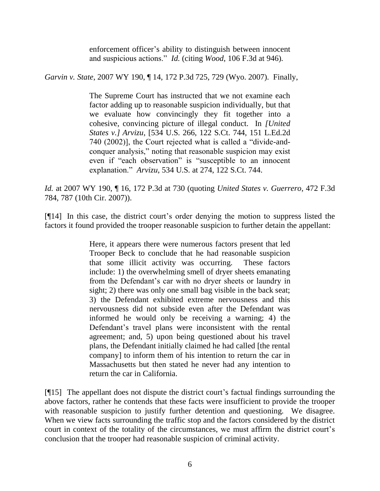enforcement officer"s ability to distinguish between innocent and suspicious actions." *Id.* (citing *Wood*, 106 F.3d at 946).

*Garvin v. State*, 2007 WY 190, ¶ 14, 172 P.3d 725, 729 (Wyo. 2007). Finally,

The Supreme Court has instructed that we not examine each factor adding up to reasonable suspicion individually, but that we evaluate how convincingly they fit together into a cohesive, convincing picture of illegal conduct. In *[United States v.] Arvizu*, [534 U.S. 266, 122 S.Ct. 744, 151 L.Ed.2d 740 (2002)], the Court rejected what is called a "divide-andconquer analysis," noting that reasonable suspicion may exist even if "each observation" is "susceptible to an innocent explanation." *Arvizu*, 534 U.S. at 274, 122 S.Ct. 744.

*Id.* at 2007 WY 190, ¶ 16, 172 P.3d at 730 (quoting *United States v. Guerrero*, 472 F.3d 784, 787 (10th Cir. 2007)).

[¶14] In this case, the district court's order denying the motion to suppress listed the factors it found provided the trooper reasonable suspicion to further detain the appellant:

> Here, it appears there were numerous factors present that led Trooper Beck to conclude that he had reasonable suspicion that some illicit activity was occurring. These factors include: 1) the overwhelming smell of dryer sheets emanating from the Defendant's car with no dryer sheets or laundry in sight; 2) there was only one small bag visible in the back seat; 3) the Defendant exhibited extreme nervousness and this nervousness did not subside even after the Defendant was informed he would only be receiving a warning; 4) the Defendant"s travel plans were inconsistent with the rental agreement; and, 5) upon being questioned about his travel plans, the Defendant initially claimed he had called [the rental company] to inform them of his intention to return the car in Massachusetts but then stated he never had any intention to return the car in California.

[¶15] The appellant does not dispute the district court"s factual findings surrounding the above factors, rather he contends that these facts were insufficient to provide the trooper with reasonable suspicion to justify further detention and questioning. We disagree. When we view facts surrounding the traffic stop and the factors considered by the district court in context of the totality of the circumstances, we must affirm the district court's conclusion that the trooper had reasonable suspicion of criminal activity.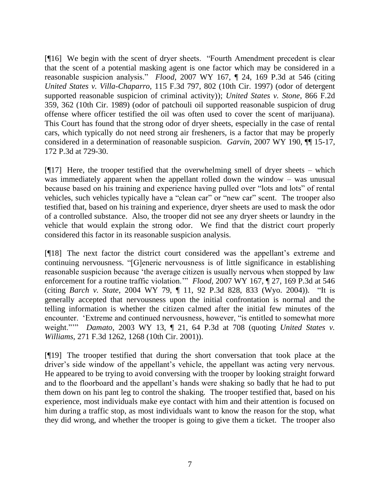[¶16] We begin with the scent of dryer sheets. "Fourth Amendment precedent is clear that the scent of a potential masking agent is one factor which may be considered in a reasonable suspicion analysis." *Flood*, 2007 WY 167, ¶ 24, 169 P.3d at 546 (citing *United States v. Villa-Chaparro,* 115 F.3d 797, 802 (10th Cir. 1997) (odor of detergent supported reasonable suspicion of criminal activity)); *United States v. Stone*, 866 F.2d 359, 362 (10th Cir. 1989) (odor of patchouli oil supported reasonable suspicion of drug offense where officer testified the oil was often used to cover the scent of marijuana). This Court has found that the strong odor of dryer sheets, especially in the case of rental cars, which typically do not need strong air fresheners, is a factor that may be properly considered in a determination of reasonable suspicion. *Garvin*, 2007 WY 190, ¶¶ 15-17, 172 P.3d at 729-30.

[¶17] Here, the trooper testified that the overwhelming smell of dryer sheets – which was immediately apparent when the appellant rolled down the window – was unusual because based on his training and experience having pulled over "lots and lots" of rental vehicles, such vehicles typically have a "clean car" or "new car" scent. The trooper also testified that, based on his training and experience, dryer sheets are used to mask the odor of a controlled substance. Also, the trooper did not see any dryer sheets or laundry in the vehicle that would explain the strong odor. We find that the district court properly considered this factor in its reasonable suspicion analysis.

[¶18] The next factor the district court considered was the appellant"s extreme and continuing nervousness. "[G]eneric nervousness is of little significance in establishing reasonable suspicion because "the average citizen is usually nervous when stopped by law enforcement for a routine traffic violation."" *Flood*, 2007 WY 167, ¶ 27, 169 P.3d at 546 (citing *Barch v. State*, 2004 WY 79, ¶ 11, 92 P.3d 828, 833 (Wyo. 2004)). "It is generally accepted that nervousness upon the initial confrontation is normal and the telling information is whether the citizen calmed after the initial few minutes of the encounter. "Extreme and continued nervousness, however, "is entitled to somewhat more weight.""" *Damato*, 2003 WY 13, ¶ 21, 64 P.3d at 708 (quoting *United States v. Williams*, 271 F.3d 1262, 1268 (10th Cir. 2001)).

[¶19] The trooper testified that during the short conversation that took place at the driver's side window of the appellant's vehicle, the appellant was acting very nervous. He appeared to be trying to avoid conversing with the trooper by looking straight forward and to the floorboard and the appellant"s hands were shaking so badly that he had to put them down on his pant leg to control the shaking. The trooper testified that, based on his experience, most individuals make eye contact with him and their attention is focused on him during a traffic stop, as most individuals want to know the reason for the stop, what they did wrong, and whether the trooper is going to give them a ticket. The trooper also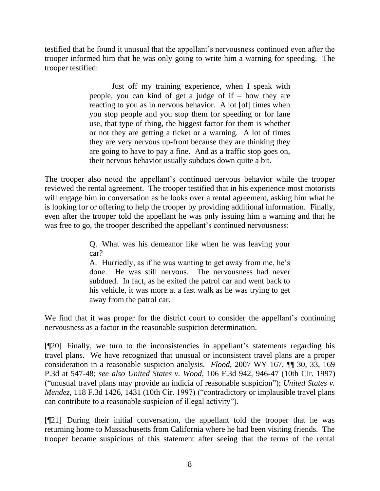testified that he found it unusual that the appellant"s nervousness continued even after the trooper informed him that he was only going to write him a warning for speeding. The trooper testified:

> Just off my training experience, when I speak with people, you can kind of get a judge of if – how they are reacting to you as in nervous behavior. A lot [of] times when you stop people and you stop them for speeding or for lane use, that type of thing, the biggest factor for them is whether or not they are getting a ticket or a warning. A lot of times they are very nervous up-front because they are thinking they are going to have to pay a fine. And as a traffic stop goes on, their nervous behavior usually subdues down quite a bit.

The trooper also noted the appellant's continued nervous behavior while the trooper reviewed the rental agreement. The trooper testified that in his experience most motorists will engage him in conversation as he looks over a rental agreement, asking him what he is looking for or offering to help the trooper by providing additional information. Finally, even after the trooper told the appellant he was only issuing him a warning and that he was free to go, the trooper described the appellant's continued nervousness:

> Q. What was his demeanor like when he was leaving your car?

> A. Hurriedly, as if he was wanting to get away from me, he"s done. He was still nervous. The nervousness had never subdued. In fact, as he exited the patrol car and went back to his vehicle, it was more at a fast walk as he was trying to get away from the patrol car.

We find that it was proper for the district court to consider the appellant's continuing nervousness as a factor in the reasonable suspicion determination.

[¶20] Finally, we turn to the inconsistencies in appellant's statements regarding his travel plans. We have recognized that unusual or inconsistent travel plans are a proper consideration in a reasonable suspicion analysis. *Flood*, 2007 WY 167, ¶¶ 30, 33, 169 P.3d at 547-48; *see also United States v. Wood*, 106 F.3d 942, 946-47 (10th Cir. 1997) ("unusual travel plans may provide an indicia of reasonable suspicion"); *United States v. Mendez*, 118 F.3d 1426, 1431 (10th Cir. 1997) ("contradictory or implausible travel plans can contribute to a reasonable suspicion of illegal activity").

[¶21] During their initial conversation, the appellant told the trooper that he was returning home to Massachusetts from California where he had been visiting friends. The trooper became suspicious of this statement after seeing that the terms of the rental